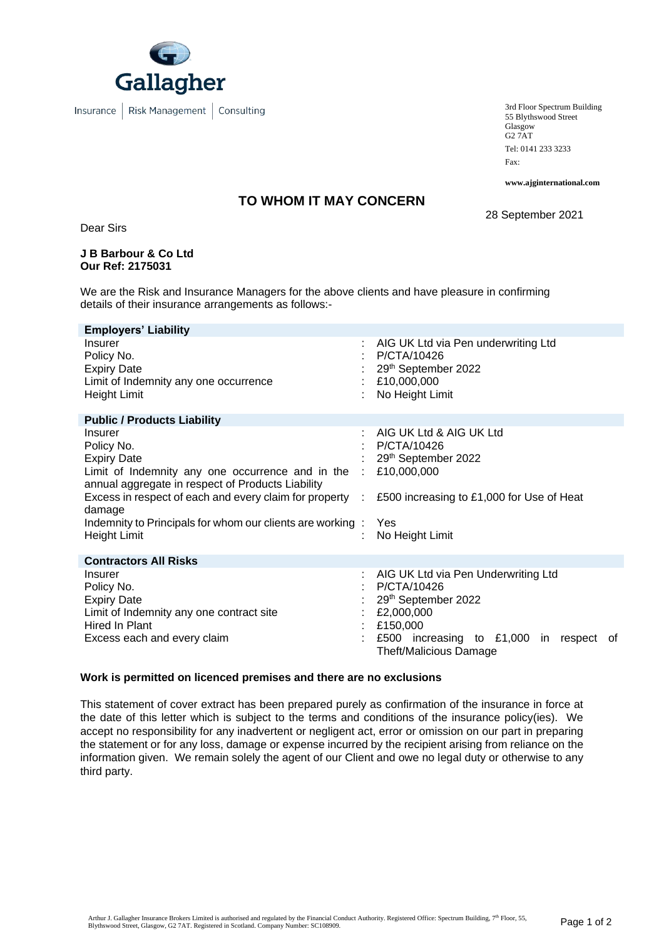

3rd Floor Spectrum Building 55 Blythswood Street Glasgow G2 7AT Tel: 0141 233 3233 Fax:

**www.ajginternational.com**

## **TO WHOM IT MAY CONCERN**

28 September 2021

Dear Sirs

#### **J B Barbour & Co Ltd Our Ref: 2175031**

We are the Risk and Insurance Managers for the above clients and have pleasure in confirming details of their insurance arrangements as follows:-

| <b>Employers' Liability</b>                                                                                                                                                                                                                                                                             |                                                                                                                                                                                          |
|---------------------------------------------------------------------------------------------------------------------------------------------------------------------------------------------------------------------------------------------------------------------------------------------------------|------------------------------------------------------------------------------------------------------------------------------------------------------------------------------------------|
| Insurer<br>Policy No.<br><b>Expiry Date</b><br>Limit of Indemnity any one occurrence<br>Height Limit                                                                                                                                                                                                    | AIG UK Ltd via Pen underwriting Ltd<br>÷.<br>P/CTA/10426<br>29th September 2022<br>£10,000,000<br>No Height Limit                                                                        |
| <b>Public / Products Liability</b>                                                                                                                                                                                                                                                                      |                                                                                                                                                                                          |
| Insurer<br>Policy No.<br><b>Expiry Date</b><br>Limit of Indemnity any one occurrence and in the<br>annual aggregate in respect of Products Liability<br>Excess in respect of each and every claim for property :<br>damage<br>Indemnity to Principals for whom our clients are working:<br>Height Limit | AIG UK Ltd & AIG UK Ltd<br>t.<br>P/CTA/10426<br>29th September 2022<br>£10,000,000<br>$\mathcal{L}^{\mathcal{L}}$<br>£500 increasing to £1,000 for Use of Heat<br>Yes<br>No Height Limit |
| <b>Contractors All Risks</b>                                                                                                                                                                                                                                                                            |                                                                                                                                                                                          |
| Insurer<br>Policy No.<br><b>Expiry Date</b><br>Limit of Indemnity any one contract site<br>Hired In Plant<br>Excess each and every claim                                                                                                                                                                | AIG UK Ltd via Pen Underwriting Ltd<br>P/CTA/10426<br>29th September 2022<br>£2,000,000<br>£150,000<br>£500 increasing to £1,000 in<br>respect<br>-of<br><b>Theft/Malicious Damage</b>   |

#### **Work is permitted on licenced premises and there are no exclusions**

This statement of cover extract has been prepared purely as confirmation of the insurance in force at the date of this letter which is subject to the terms and conditions of the insurance policy(ies). We accept no responsibility for any inadvertent or negligent act, error or omission on our part in preparing the statement or for any loss, damage or expense incurred by the recipient arising from reliance on the information given. We remain solely the agent of our Client and owe no legal duty or otherwise to any third party.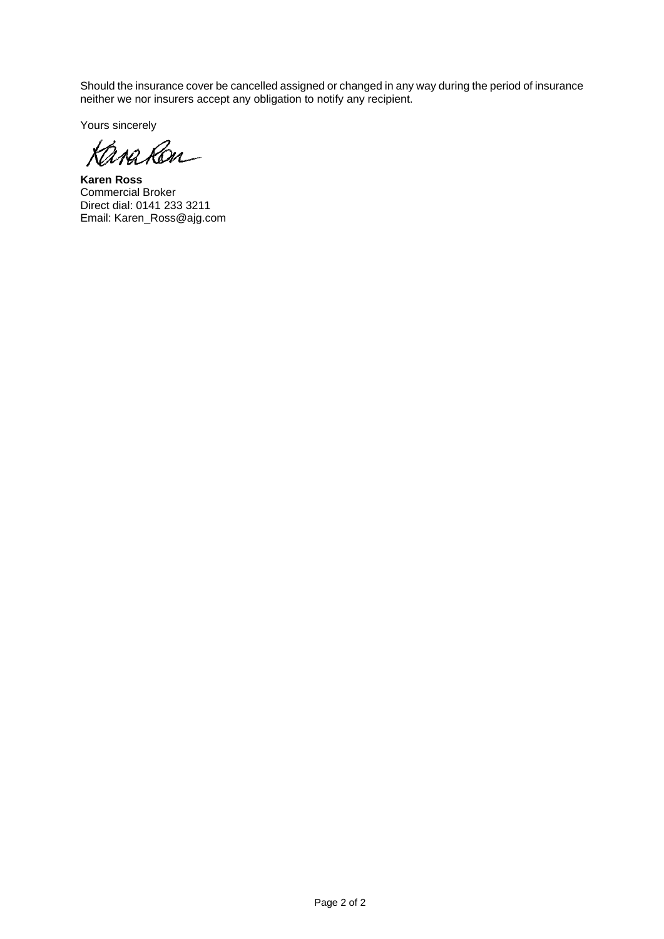Should the insurance cover be cancelled assigned or changed in any way during the period of insurance neither we nor insurers accept any obligation to notify any recipient.

Yours sincerely

Kana Ron

**Karen Ross** Commercial Broker Direct dial: 0141 233 3211 Email: Karen\_Ross@ajg.com